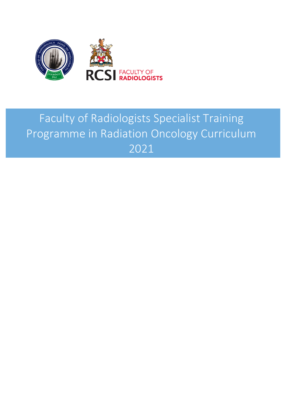

# Faculty of Radiologists Specialist Training Programme in Radiation Oncology Curriculum 2021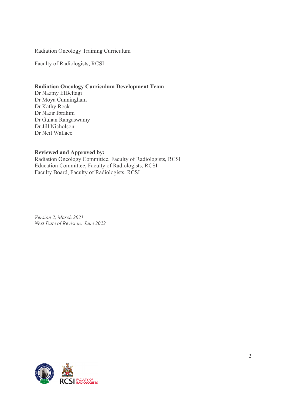Radiation Oncology Training Curriculum

Faculty of Radiologists, RCSI

### **Radiation Oncology Curriculum Development Team**

Dr Nazmy ElBeltagi Dr Moya Cunningham Dr Kathy Rock Dr Nazir Ibrahim Dr Guhan Rangaswamy Dr Jill Nicholson Dr Neil Wallace

#### **Reviewed and Approved by:**

Radiation Oncology Committee, Faculty of Radiologists, RCSI Education Committee, Faculty of Radiologists, RCSI Faculty Board, Faculty of Radiologists, RCSI

*Version 2, March 2021 Next Date of Revision: June 2022*

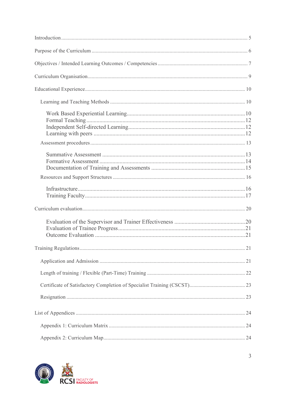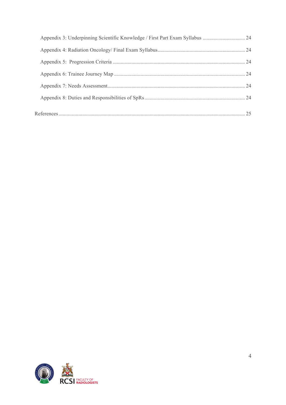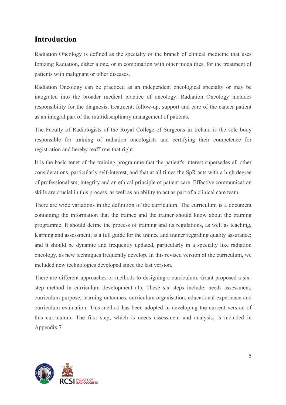### **Introduction**

Radiation Oncology is defined as the specialty of the branch of clinical medicine that uses Ionizing Radiation, either alone, or in combination with other modalities, for the treatment of patients with malignant or other diseases.

Radiation Oncology can be practiced as an independent oncological specialty or may be integrated into the broader medical practice of oncology. Radiation Oncology includes responsibility for the diagnosis, treatment, follow-up, support and care of the cancer patient as an integral part of the multidisciplinary management of patients.

The Faculty of Radiologists of the Royal College of Surgeons in Ireland is the sole body responsible for training of radiation oncologists and certifying their competence for registration and hereby reaffirms that right.

It is the basic tenet of the training programme that the patient's interest supersedes all other considerations, particularly self-interest, and that at all times the SpR acts with a high degree of professionalism, integrity and an ethical principle of patient care. Effective communication skills are crucial in this process, as well as an ability to act as part of a clinical care team.

There are wide variations in the definition of the curriculum. The curriculum is a document containing the information that the trainee and the trainer should know about the training programme. It should define the process of training and its regulations, as well as teaching, learning and assessment; is a full guide for the trainee and trainer regarding quality assurance; and it should be dynamic and frequently updated, particularly in a specialty like radiation oncology, as new techniques frequently develop. In this revised version of the curriculum, we included new technologies developed since the last version.

There are different approaches or methods to designing a curriculum. Grant proposed a sixstep method in curriculum development (1). These six steps include: needs assessment, curriculum purpose, learning outcomes, curriculum organisation, educational experience and curriculum evaluation. This method has been adopted in developing the current version of this curriculum. The first step, which is needs assessment and analysis, is included in Appendix 7

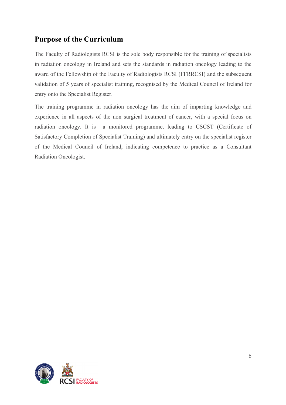## **Purpose of the Curriculum**

The Faculty of Radiologists RCSI is the sole body responsible for the training of specialists in radiation oncology in Ireland and sets the standards in radiation oncology leading to the award of the Fellowship of the Faculty of Radiologists RCSI (FFRRCSI) and the subsequent validation of 5 years of specialist training, recognised by the Medical Council of Ireland for entry onto the Specialist Register.

The training programme in radiation oncology has the aim of imparting knowledge and experience in all aspects of the non surgical treatment of cancer, with a special focus on radiation oncology. It is a monitored programme, leading to CSCST (Certificate of Satisfactory Completion of Specialist Training) and ultimately entry on the specialist register of the Medical Council of Ireland, indicating competence to practice as a Consultant Radiation Oncologist.

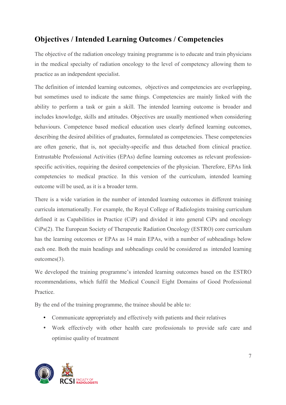# **Objectives / Intended Learning Outcomes / Competencies**

The objective of the radiation oncology training programme is to educate and train physicians in the medical specialty of radiation oncology to the level of competency allowing them to practice as an independent specialist.

The definition of intended learning outcomes, objectives and competencies are overlapping, but sometimes used to indicate the same things. Competencies are mainly linked with the ability to perform a task or gain a skill. The intended learning outcome is broader and includes knowledge, skills and attitudes. Objectives are usually mentioned when considering behaviours. Competence based medical education uses clearly defined learning outcomes, describing the desired abilities of graduates, formulated as competencies. These competencies are often generic, that is, not specialty-specific and thus detached from clinical practice. Entrustable Professional Activities (EPAs) define learning outcomes as relevant professionspecific activities, requiring the desired competencies of the physician. Therefore, EPAs link competencies to medical practice. In this version of the curriculum, intended learning outcome will be used, as it is a broader term.

There is a wide variation in the number of intended learning outcomes in different training curricula internationally. For example, the Royal College of Radiologists training curriculum defined it as Capabilities in Practice (CiP) and divided it into general CiPs and oncology CiPs(2). The European Society of Therapeutic Radiation Oncology (ESTRO) core curriculum has the learning outcomes or EPAs as 14 main EPAs, with a number of subheadings below each one. Both the main headings and subheadings could be considered as intended learning outcomes(3).

We developed the training programme's intended learning outcomes based on the ESTRO recommendations, which fulfil the Medical Council Eight Domains of Good Professional **Practice** 

By the end of the training programme, the trainee should be able to:

- Communicate appropriately and effectively with patients and their relatives
- Work effectively with other health care professionals to provide safe care and optimise quality of treatment

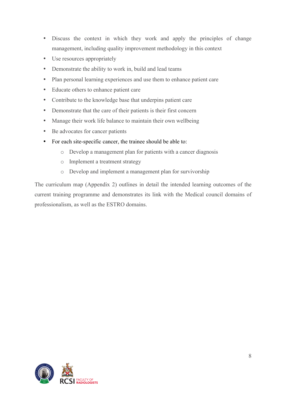- Discuss the context in which they work and apply the principles of change management, including quality improvement methodology in this context
- Use resources appropriately
- Demonstrate the ability to work in, build and lead teams
- Plan personal learning experiences and use them to enhance patient care
- Educate others to enhance patient care
- Contribute to the knowledge base that underpins patient care
- Demonstrate that the care of their patients is their first concern
- Manage their work life balance to maintain their own wellbeing
- Be advocates for cancer patients
- For each site-specific cancer, the trainee should be able to:
	- o Develop a management plan for patients with a cancer diagnosis
	- o Implement a treatment strategy
	- o Develop and implement a management plan for survivorship

The curriculum map (Appendix 2) outlines in detail the intended learning outcomes of the current training programme and demonstrates its link with the Medical council domains of professionalism, as well as the ESTRO domains.

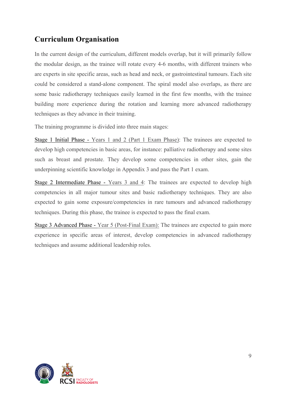# **Curriculum Organisation**

In the current design of the curriculum, different models overlap, but it will primarily follow the modular design, as the trainee will rotate every 4-6 months, with different trainers who are experts in site specific areas, such as head and neck, or gastrointestinal tumours. Each site could be considered a stand-alone component. The spiral model also overlaps, as there are some basic radiotherapy techniques easily learned in the first few months, with the trainee building more experience during the rotation and learning more advanced radiotherapy techniques as they advance in their training.

The training programme is divided into three main stages:

Stage 1 Initial Phase - Years 1 and 2 (Part 1 Exam Phase): The trainees are expected to develop high competencies in basic areas, for instance: palliative radiotherapy and some sites such as breast and prostate. They develop some competencies in other sites, gain the underpinning scientific knowledge in Appendix 3 and pass the Part 1 exam.

Stage 2 Intermediate Phase - Years 3 and 4: The trainees are expected to develop high competencies in all major tumour sites and basic radiotherapy techniques. They are also expected to gain some exposure/competencies in rare tumours and advanced radiotherapy techniques. During this phase, the trainee is expected to pass the final exam.

Stage 3 Advanced Phase - Year 5 (Post-Final Exam): The trainees are expected to gain more experience in specific areas of interest, develop competencies in advanced radiotherapy techniques and assume additional leadership roles.

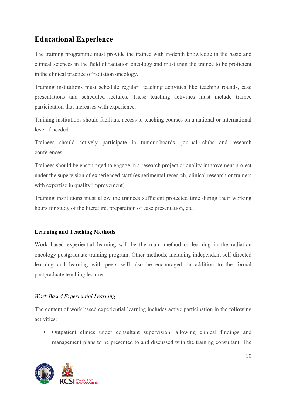# **Educational Experience**

The training programme must provide the trainee with in-depth knowledge in the basic and clinical sciences in the field of radiation oncology and must train the trainee to be proficient in the clinical practice of radiation oncology.

Training institutions must schedule regular teaching activities like teaching rounds, case presentations and scheduled lectures. These teaching activities must include trainee participation that increases with experience.

Training institutions should facilitate access to teaching courses on a national or international level if needed.

Trainees should actively participate in tumour-boards, journal clubs and research conferences.

Trainees should be encouraged to engage in a research project or quality improvement project under the supervision of experienced staff (experimental research, clinical research or trainers with expertise in quality improvement).

Training institutions must allow the trainees sufficient protected time during their working hours for study of the literature, preparation of case presentation, etc.

#### **Learning and Teaching Methods**

Work based experiential learning will be the main method of learning in the radiation oncology postgraduate training program. Other methods, including independent self-directed learning and learning with peers will also be encouraged, in addition to the formal postgraduate teaching lectures.

### *Work Based Experiential Learning*

The content of work based experiential learning includes active participation in the following activities:

• Outpatient clinics under consultant supervision, allowing clinical findings and management plans to be presented to and discussed with the training consultant. The

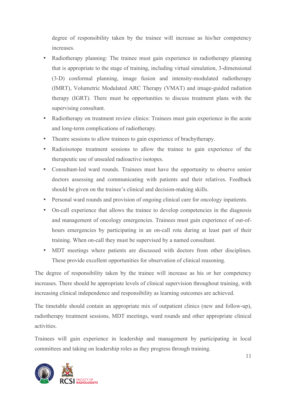degree of responsibility taken by the trainee will increase as his/her competency increases.

- Radiotherapy planning: The trainee must gain experience in radiotherapy planning that is appropriate to the stage of training, including virtual simulation, 3-dimensional (3-D) conformal planning, image fusion and intensity-modulated radiotherapy (IMRT), Volumetric Modulated ARC Therapy (VMAT) and image-guided radiation therapy (IGRT). There must be opportunities to discuss treatment plans with the supervising consultant.
- Radiotherapy on treatment review clinics: Trainees must gain experience in the acute and long-term complications of radiotherapy.
- Theatre sessions to allow trainees to gain experience of brachytherapy.
- Radioisotope treatment sessions to allow the trainee to gain experience of the therapeutic use of unsealed radioactive isotopes.
- Consultant-led ward rounds. Trainees must have the opportunity to observe senior doctors assessing and communicating with patients and their relatives. Feedback should be given on the trainee's clinical and decision-making skills.
- Personal ward rounds and provision of ongoing clinical care for oncology inpatients.
- On-call experience that allows the trainee to develop competencies in the diagnosis and management of oncology emergencies. Trainees must gain experience of out-ofhours emergencies by participating in an on-call rota during at least part of their training. When on-call they must be supervised by a named consultant.
- MDT meetings where patients are discussed with doctors from other disciplines. These provide excellent opportunities for observation of clinical reasoning.

The degree of responsibility taken by the trainee will increase as his or her competency increases. There should be appropriate levels of clinical supervision throughout training, with increasing clinical independence and responsibility as learning outcomes are achieved.

The timetable should contain an appropriate mix of outpatient clinics (new and follow-up), radiotherapy treatment sessions, MDT meetings, ward rounds and other appropriate clinical activities.

Trainees will gain experience in leadership and management by participating in local committees and taking on leadership roles as they progress through training.

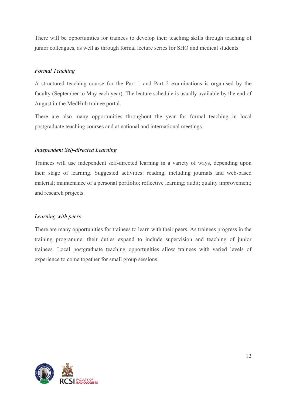There will be opportunities for trainees to develop their teaching skills through teaching of junior colleagues, as well as through formal lecture series for SHO and medical students.

#### *Formal Teaching*

A structured teaching course for the Part 1 and Part 2 examinations is organised by the faculty (September to May each year). The lecture schedule is usually available by the end of August in the MedHub trainee portal.

There are also many opportunities throughout the year for formal teaching in local postgraduate teaching courses and at national and international meetings.

### *Independent Self-directed Learning*

Trainees will use independent self-directed learning in a variety of ways, depending upon their stage of learning. Suggested activities: reading, including journals and web-based material; maintenance of a personal portfolio; reflective learning; audit; quality improvement; and research projects.

#### *Learning with peers*

There are many opportunities for trainees to learn with their peers. As trainees progress in the training programme, their duties expand to include supervision and teaching of junior trainees. Local postgraduate teaching opportunities allow trainees with varied levels of experience to come together for small group sessions.

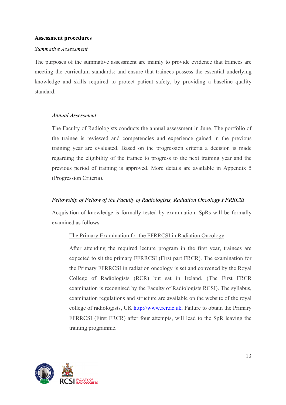#### **Assessment procedures**

#### *Summative Assessment*

The purposes of the summative assessment are mainly to provide evidence that trainees are meeting the curriculum standards; and ensure that trainees possess the essential underlying knowledge and skills required to protect patient safety, by providing a baseline quality standard.

#### *Annual Assessment*

The Faculty of Radiologists conducts the annual assessment in June. The portfolio of the trainee is reviewed and competencies and experience gained in the previous training year are evaluated. Based on the progression criteria a decision is made regarding the eligibility of the trainee to progress to the next training year and the previous period of training is approved. More details are available in Appendix 5 (Progression Criteria).

#### *Fellowship of Fellow of the Faculty of Radiologists, Radiation Oncology FFRRCSI*

Acquisition of knowledge is formally tested by examination. SpRs will be formally examined as follows:

#### The Primary Examination for the FFRRCSI in Radiation Oncology

After attending the required lecture program in the first year, trainees are expected to sit the primary FFRRCSI (First part FRCR). The examination for the Primary FFRRCSI in radiation oncology is set and convened by the Royal College of Radiologists (RCR) but sat in Ireland. (The First FRCR examination is recognised by the Faculty of Radiologists RCSI). The syllabus, examination regulations and structure are available on the website of the royal college of radiologists, UK http://www.rcr.ac.uk. Failure to obtain the Primary FFRRCSI (First FRCR) after four attempts, will lead to the SpR leaving the training programme.

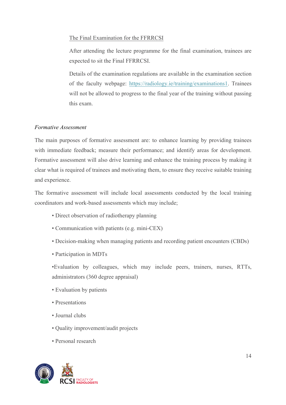#### The Final Examination for the FFRRCSI

After attending the lecture programme for the final examination, trainees are expected to sit the Final FFRRCSI.

Details of the examination regulations are available in the examination section of the faculty webpage: https://radiology.ie/training/examinations1. Trainees will not be allowed to progress to the final year of the training without passing this exam.

#### *Formative Assessment*

The main purposes of formative assessment are: to enhance learning by providing trainees with immediate feedback; measure their performance; and identify areas for development. Formative assessment will also drive learning and enhance the training process by making it clear what is required of trainees and motivating them, to ensure they receive suitable training and experience.

The formative assessment will include local assessments conducted by the local training coordinators and work-based assessments which may include;

- Direct observation of radiotherapy planning
- Communication with patients (e.g. mini-CEX)
- Decision-making when managing patients and recording patient encounters (CBDs)
- Participation in MDTs

•Evaluation by colleagues, which may include peers, trainers, nurses, RTTs, administrators (360 degree appraisal)

- Evaluation by patients
- Presentations
- Journal clubs
- Quality improvement/audit projects
- Personal research

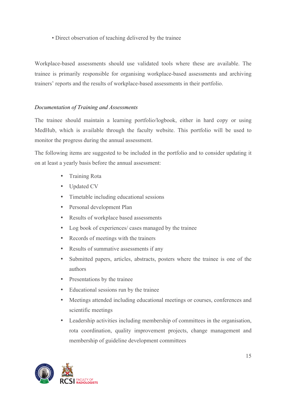• Direct observation of teaching delivered by the trainee

Workplace-based assessments should use validated tools where these are available. The trainee is primarily responsible for organising workplace-based assessments and archiving trainers' reports and the results of workplace-based assessments in their portfolio.

### *Documentation of Training and Assessments*

The trainee should maintain a learning portfolio/logbook, either in hard copy or using MedHub, which is available through the faculty website. This portfolio will be used to monitor the progress during the annual assessment.

The following items are suggested to be included in the portfolio and to consider updating it on at least a yearly basis before the annual assessment:

- Training Rota
- Updated CV
- Timetable including educational sessions
- Personal development Plan
- Results of workplace based assessments
- Log book of experiences/ cases managed by the trainee
- Records of meetings with the trainers
- Results of summative assessments if any
- Submitted papers, articles, abstracts, posters where the trainee is one of the authors
- Presentations by the trainee
- Educational sessions run by the trainee
- Meetings attended including educational meetings or courses, conferences and scientific meetings
- Leadership activities including membership of committees in the organisation, rota coordination, quality improvement projects, change management and membership of guideline development committees

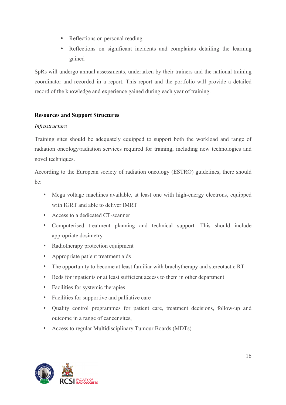- Reflections on personal reading
- Reflections on significant incidents and complaints detailing the learning gained

SpRs will undergo annual assessments, undertaken by their trainers and the national training coordinator and recorded in a report. This report and the portfolio will provide a detailed record of the knowledge and experience gained during each year of training.

### **Resources and Support Structures**

#### *Infrastructure*

Training sites should be adequately equipped to support both the workload and range of radiation oncology/radiation services required for training, including new technologies and novel techniques.

According to the European society of radiation oncology (ESTRO) guidelines, there should be:

- Mega voltage machines available, at least one with high-energy electrons, equipped with IGRT and able to deliver IMRT
- Access to a dedicated CT-scanner
- Computerised treatment planning and technical support. This should include appropriate dosimetry
- Radiotherapy protection equipment
- Appropriate patient treatment aids
- The opportunity to become at least familiar with brachytherapy and stereotactic RT
- Beds for inpatients or at least sufficient access to them in other department
- Facilities for systemic therapies
- Facilities for supportive and palliative care
- Quality control programmes for patient care, treatment decisions, follow-up and outcome in a range of cancer sites,
- Access to regular Multidisciplinary Tumour Boards (MDTs)

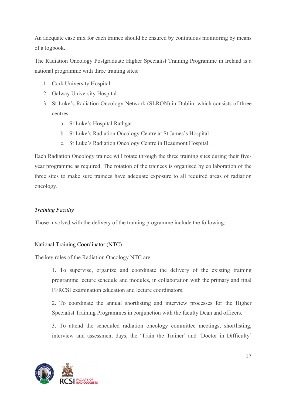An adequate case mix for each trainee should be ensured by continuous monitoring by means of a logbook.

The Radiation Oncology Postgraduate Higher Specialist Training Programme in Ireland is a national programme with three training sites:

- 1. Cork University Hospital
- 2. Galway University Hospital
- 3. St Luke's Radiation Oncology Network (SLRON) in Dublin, which consists of three centres:
	- a. St Luke's Hospital Rathgar
	- b. St Luke's Radiation Oncology Centre at St James's Hospital
	- c. St Luke's Radiation Oncology Centre in Beaumont Hospital.

Each Radiation Oncology trainee will rotate through the three training sites during their fiveyear programme as required. The rotation of the trainees is organised by collaboration of the three sites to make sure trainees have adequate exposure to all required areas of radiation oncology.

#### *Training Faculty*

Those involved with the delivery of the training programme include the following:

#### National Training Coordinator (NTC)

The key roles of the Radiation Oncology NTC are:

1. To supervise, organize and coordinate the delivery of the existing training programme lecture schedule and modules, in collaboration with the primary and final FFRCSI examination education and lecture coordinators.

2. To coordinate the annual shortlisting and interview processes for the Higher Specialist Training Programmes in conjunction with the faculty Dean and officers.

3. To attend the scheduled radiation oncology committee meetings, shortlisting, interview and assessment days, the 'Train the Trainer' and 'Doctor in Difficulty'

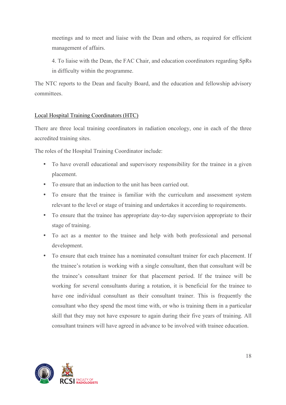meetings and to meet and liaise with the Dean and others, as required for efficient management of affairs.

4. To liaise with the Dean, the FAC Chair, and education coordinators regarding SpRs in difficulty within the programme.

The NTC reports to the Dean and faculty Board, and the education and fellowship advisory committees.

### Local Hospital Training Coordinators (HTC)

There are three local training coordinators in radiation oncology, one in each of the three accredited training sites.

The roles of the Hospital Training Coordinator include:

- To have overall educational and supervisory responsibility for the trainee in a given placement.
- To ensure that an induction to the unit has been carried out.
- To ensure that the trainee is familiar with the curriculum and assessment system relevant to the level or stage of training and undertakes it according to requirements.
- To ensure that the trainee has appropriate day-to-day supervision appropriate to their stage of training.
- To act as a mentor to the trainee and help with both professional and personal development.
- To ensure that each trainee has a nominated consultant trainer for each placement. If the trainee's rotation is working with a single consultant, then that consultant will be the trainee's consultant trainer for that placement period. If the trainee will be working for several consultants during a rotation, it is beneficial for the trainee to have one individual consultant as their consultant trainer. This is frequently the consultant who they spend the most time with, or who is training them in a particular skill that they may not have exposure to again during their five years of training. All consultant trainers will have agreed in advance to be involved with trainee education.

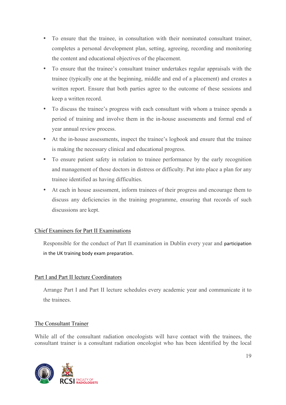- To ensure that the trainee, in consultation with their nominated consultant trainer, completes a personal development plan, setting, agreeing, recording and monitoring the content and educational objectives of the placement.
- To ensure that the trainee's consultant trainer undertakes regular appraisals with the trainee (typically one at the beginning, middle and end of a placement) and creates a written report. Ensure that both parties agree to the outcome of these sessions and keep a written record.
- To discuss the trainee's progress with each consultant with whom a trainee spends a period of training and involve them in the in-house assessments and formal end of year annual review process.
- At the in-house assessments, inspect the trainee's logbook and ensure that the trainee is making the necessary clinical and educational progress.
- To ensure patient safety in relation to trainee performance by the early recognition and management of those doctors in distress or difficulty. Put into place a plan for any trainee identified as having difficulties.
- At each in house assessment, inform trainees of their progress and encourage them to discuss any deficiencies in the training programme, ensuring that records of such discussions are kept.

#### Chief Examiners for Part II Examinations

Responsible for the conduct of Part II examination in Dublin every year and participation in the UK training body exam preparation.

#### Part I and Part II lecture Coordinators

Arrange Part I and Part II lecture schedules every academic year and communicate it to the trainees.

#### The Consultant Trainer

While all of the consultant radiation oncologists will have contact with the trainees, the consultant trainer is a consultant radiation oncologist who has been identified by the local

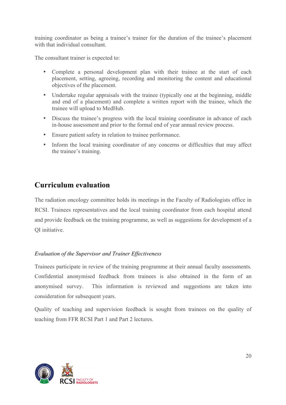training coordinator as being a trainee's trainer for the duration of the trainee's placement with that individual consultant.

The consultant trainer is expected to:

- Complete a personal development plan with their trainee at the start of each placement, setting, agreeing, recording and monitoring the content and educational objectives of the placement.
- Undertake regular appraisals with the trainee (typically one at the beginning, middle and end of a placement) and complete a written report with the trainee, which the trainee will upload to MedHub.
- Discuss the trainee's progress with the local training coordinator in advance of each in-house assessment and prior to the formal end of year annual review process.
- Ensure patient safety in relation to trainee performance.
- Inform the local training coordinator of any concerns or difficulties that may affect the trainee's training.

# **Curriculum evaluation**

The radiation oncology committee holds its meetings in the Faculty of Radiologists office in RCSI. Trainees representatives and the local training coordinator from each hospital attend and provide feedback on the training programme, as well as suggestions for development of a QI initiative.

#### *Evaluation of the Supervisor and Trainer Effectiveness*

Trainees participate in review of the training programme at their annual faculty assessments. Confidential anonymised feedback from trainees is also obtained in the form of an anonymised survey. This information is reviewed and suggestions are taken into consideration for subsequent years.

Quality of teaching and supervision feedback is sought from trainees on the quality of teaching from FFR RCSI Part 1 and Part 2 lectures.

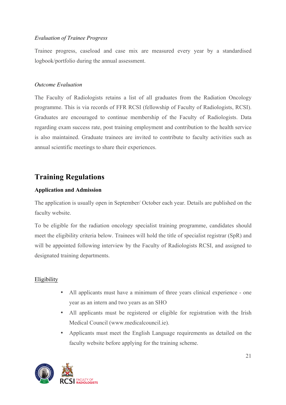#### *Evaluation of Trainee Progress*

Trainee progress, caseload and case mix are measured every year by a standardised logbook/portfolio during the annual assessment.

#### *Outcome Evaluation*

The Faculty of Radiologists retains a list of all graduates from the Radiation Oncology programme. This is via records of FFR RCSI (fellowship of Faculty of Radiologists, RCSI). Graduates are encouraged to continue membership of the Faculty of Radiologists. Data regarding exam success rate, post training employment and contribution to the health service is also maintained. Graduate trainees are invited to contribute to faculty activities such as annual scientific meetings to share their experiences.

# **Training Regulations**

#### **Application and Admission**

The application is usually open in September/ October each year. Details are published on the faculty website.

To be eligible for the radiation oncology specialist training programme, candidates should meet the eligibility criteria below. Trainees will hold the title of specialist registrar (SpR) and will be appointed following interview by the Faculty of Radiologists RCSI, and assigned to designated training departments.

#### Eligibility

- All applicants must have a minimum of three years clinical experience one year as an intern and two years as an SHO
- All applicants must be registered or eligible for registration with the Irish Medical Council (www.medicalcouncil.ie).
- Applicants must meet the English Language requirements as detailed on the faculty website before applying for the training scheme.

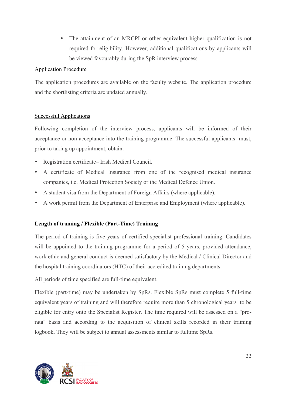• The attainment of an MRCPI or other equivalent higher qualification is not required for eligibility. However, additional qualifications by applicants will be viewed favourably during the SpR interview process.

#### Application Procedure

The application procedures are available on the faculty website. The application procedure and the shortlisting criteria are updated annually.

#### Successful Applications

Following completion of the interview process, applicants will be informed of their acceptance or non-acceptance into the training programme. The successful applicants must, prior to taking up appointment, obtain:

- Registration certificate– Irish Medical Council.
- A certificate of Medical Insurance from one of the recognised medical insurance companies, i.e. Medical Protection Society or the Medical Defence Union.
- A student visa from the Department of Foreign Affairs (where applicable).
- A work permit from the Department of Enterprise and Employment (where applicable).

### **Length of training / Flexible (Part-Time) Training**

The period of training is five years of certified specialist professional training. Candidates will be appointed to the training programme for a period of 5 years, provided attendance, work ethic and general conduct is deemed satisfactory by the Medical / Clinical Director and the hospital training coordinators (HTC) of their accredited training departments.

All periods of time specified are full-time equivalent.

Flexible (part-time) may be undertaken by SpRs. Flexible SpRs must complete 5 full-time equivalent years of training and will therefore require more than 5 chronological years to be eligible for entry onto the Specialist Register. The time required will be assessed on a "prorata" basis and according to the acquisition of clinical skills recorded in their training logbook. They will be subject to annual assessments similar to fulltime SpRs.

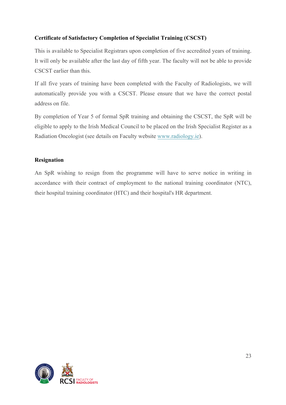### **Certificate of Satisfactory Completion of Specialist Training (CSCST)**

This is available to Specialist Registrars upon completion of five accredited years of training. It will only be available after the last day of fifth year. The faculty will not be able to provide CSCST earlier than this.

If all five years of training have been completed with the Faculty of Radiologists, we will automatically provide you with a CSCST. Please ensure that we have the correct postal address on file.

By completion of Year 5 of formal SpR training and obtaining the CSCST, the SpR will be eligible to apply to the Irish Medical Council to be placed on the Irish Specialist Register as a Radiation Oncologist (see details on Faculty website www.radiology.ie).

#### **Resignation**

An SpR wishing to resign from the programme will have to serve notice in writing in accordance with their contract of employment to the national training coordinator (NTC), their hospital training coordinator (HTC) and their hospital's HR department.

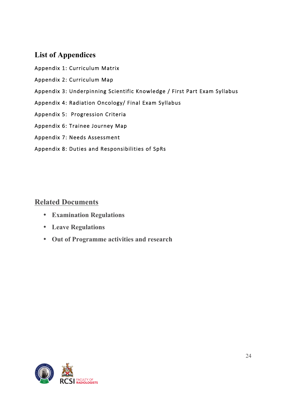# **List of Appendices**

- Appendix 1: Curriculum Matrix
- Appendix 2: Curriculum Map
- Appendix 3: Underpinning Scientific Knowledge / First Part Exam Syllabus
- Appendix 4: Radiation Oncology/ Final Exam Syllabus
- Appendix 5: Progression Criteria
- Appendix 6: Trainee Journey Map
- Appendix 7: Needs Assessment
- Appendix 8: Duties and Responsibilities of SpRs

### **Related Documents**

- **Examination Regulations**
- **Leave Regulations**
- **Out of Programme activities and research**